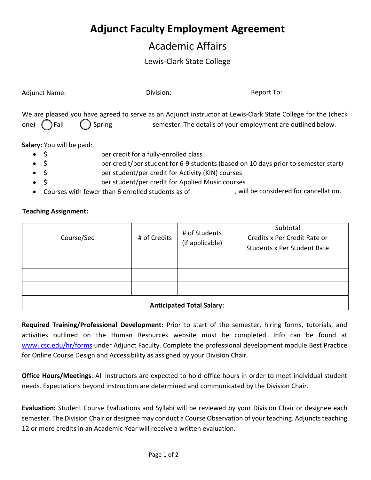## **Adjunct Faculty Employment Agreement**

## Academic Affairs

## Lewis-Clark State College

| <b>Adjunct Name:</b>                                                                                                                                                                                                                                                                                                                                                                                                                 | Division:    |                                  | Report To:                                                                                                                                                                   |  |  |
|--------------------------------------------------------------------------------------------------------------------------------------------------------------------------------------------------------------------------------------------------------------------------------------------------------------------------------------------------------------------------------------------------------------------------------------|--------------|----------------------------------|------------------------------------------------------------------------------------------------------------------------------------------------------------------------------|--|--|
| Spring<br>) Fall<br>one)                                                                                                                                                                                                                                                                                                                                                                                                             |              |                                  | We are pleased you have agreed to serve as an Adjunct instructor at Lewis-Clark State College for the (check<br>semester. The details of your employment are outlined below. |  |  |
| Salary: You will be paid:<br>per credit for a fully-enrolled class<br>\$<br>per credit/per student for 6-9 students (based on 10 days prior to semester start)<br>\$<br>\$<br>$\bullet$<br>per student/per credit for Activity (KIN) courses<br>\$<br>per student/per credit for Applied Music courses<br>, will be considered for cancellation.<br>Courses with fewer than 6 enrolled students as of<br><b>Teaching Assignment:</b> |              |                                  |                                                                                                                                                                              |  |  |
| Course/Sec                                                                                                                                                                                                                                                                                                                                                                                                                           | # of Credits | # of Students<br>(if applicable) | Subtotal<br>Credits x Per Credit Rate or<br><b>Students x Per Student Rate</b>                                                                                               |  |  |
|                                                                                                                                                                                                                                                                                                                                                                                                                                      |              |                                  |                                                                                                                                                                              |  |  |

|  | <b>Anticipated Total Salary:</b> |  |
|--|----------------------------------|--|
|  |                                  |  |
|  |                                  |  |

**Required Training/Professional Development:** Prior to start of the semester, hiring forms, tutorials, and activities outlined on the Human Resources website must be completed. Info can be found at [www.lcsc.edu/hr/forms](http://www.lcsc.edu/hr/forms) under Adjunct Faculty. Complete the professional development module Best Practice for Online Course Design and Accessibility as assigned by your Division Chair.

**Office Hours/Meetings**: All instructors are expected to hold office hours in order to meet individual student needs. Expectations beyond instruction are determined and communicated by the Division Chair.

**Evaluation:** Student Course Evaluations and Syllabi will be reviewed by your Division Chair or designee each semester. The Division Chair or designee may conduct a Course Observation of your teaching. Adjuncts teaching 12 or more credits in an Academic Year will receive a written evaluation.